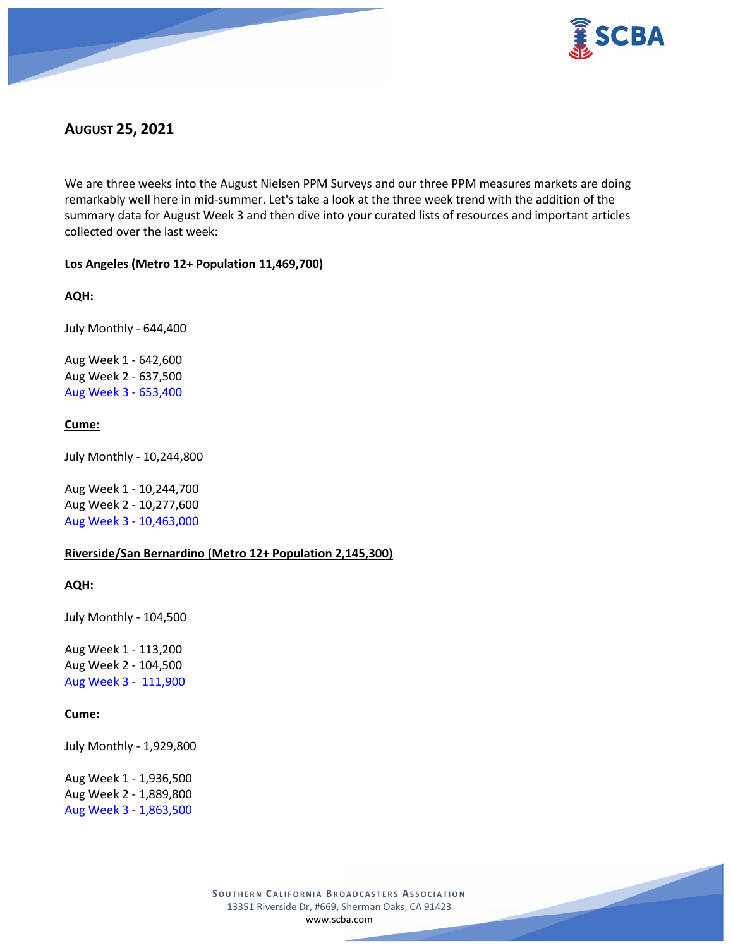

# **AUGUST 25, 2021**

We are three weeks into the August Nielsen PPM Surveys and our three PPM measures markets are doing remarkably well here in mid-summer. Let's take a look at the three week trend with the addition of the summary data for August Week 3 and then dive into your curated lists of resources and important articles collected over the last week:

## **Los Angeles (Metro 12+ Population 11,469,700)**

**AQH:**

July Monthly - 644,400

Aug Week 1 - 642,600 Aug Week 2 - 637,500 Aug Week 3 - 653,400

## **Cume:**

July Monthly - 10,244,800

Aug Week 1 - 10,244,700 Aug Week 2 - 10,277,600 Aug Week 3 - 10,463,000

## **Riverside/San Bernardino (Metro 12+ Population 2,145,300)**

**AQH:**

July Monthly - 104,500

Aug Week 1 - 113,200 Aug Week 2 - 104,500 Aug Week 3 - 111,900

## **Cume:**

July Monthly - 1,929,800

Aug Week 1 - 1,936,500 Aug Week 2 - 1,889,800 Aug Week 3 - 1,863,500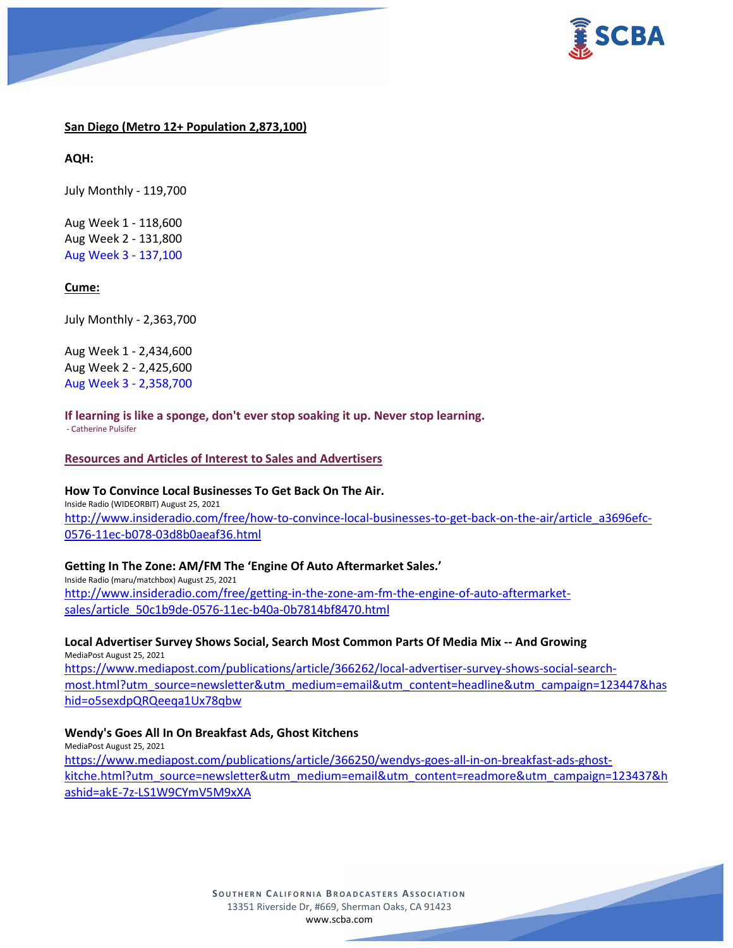

### **San Diego (Metro 12+ Population 2,873,100)**

**AQH:**

July Monthly - 119,700

Aug Week 1 - 118,600 Aug Week 2 - 131,800 Aug Week 3 - 137,100

### **Cume:**

July Monthly - 2,363,700

Aug Week 1 - 2,434,600 Aug Week 2 - 2,425,600 Aug Week 3 - 2,358,700

**If learning is like a sponge, don't ever stop soaking it up. Never stop learning.** - Catherine Pulsifer

### **Resources and Articles of Interest to Sales and Advertisers**

### **How To Convince Local Businesses To Get Back On The Air.**

Inside Radio (WIDEORBIT) August 25, 2021 [http://www.insideradio.com/free/how-to-convince-local-businesses-to-get-back-on-the-air/article\\_a3696efc-](http://www.insideradio.com/free/how-to-convince-local-businesses-to-get-back-on-the-air/article_a3696efc-0576-11ec-b078-03d8b0aeaf36.html)[0576-11ec-b078-03d8b0aeaf36.html](http://www.insideradio.com/free/how-to-convince-local-businesses-to-get-back-on-the-air/article_a3696efc-0576-11ec-b078-03d8b0aeaf36.html)

### **Getting In The Zone: AM/FM The 'Engine Of Auto Aftermarket Sales.'**

Inside Radio (maru/matchbox) August 25, 2021 [http://www.insideradio.com/free/getting-in-the-zone-am-fm-the-engine-of-auto-aftermarket](http://www.insideradio.com/free/getting-in-the-zone-am-fm-the-engine-of-auto-aftermarket-sales/article_50c1b9de-0576-11ec-b40a-0b7814bf8470.html)[sales/article\\_50c1b9de-0576-11ec-b40a-0b7814bf8470.html](http://www.insideradio.com/free/getting-in-the-zone-am-fm-the-engine-of-auto-aftermarket-sales/article_50c1b9de-0576-11ec-b40a-0b7814bf8470.html)

**Local Advertiser Survey Shows Social, Search Most Common Parts Of Media Mix -- And Growing** MediaPost August 25, 2021 [https://www.mediapost.com/publications/article/366262/local-advertiser-survey-shows-social-search](https://www.mediapost.com/publications/article/366262/local-advertiser-survey-shows-social-search-most.html?utm_source=newsletter&utm_medium=email&utm_content=headline&utm_campaign=123447&hashid=o5sexdpQRQeeqa1Ux78qbw)[most.html?utm\\_source=newsletter&utm\\_medium=email&utm\\_content=headline&utm\\_campaign=123447&has](https://www.mediapost.com/publications/article/366262/local-advertiser-survey-shows-social-search-most.html?utm_source=newsletter&utm_medium=email&utm_content=headline&utm_campaign=123447&hashid=o5sexdpQRQeeqa1Ux78qbw)

[hid=o5sexdpQRQeeqa1Ux78qbw](https://www.mediapost.com/publications/article/366262/local-advertiser-survey-shows-social-search-most.html?utm_source=newsletter&utm_medium=email&utm_content=headline&utm_campaign=123447&hashid=o5sexdpQRQeeqa1Ux78qbw)

### **Wendy's Goes All In On Breakfast Ads, Ghost Kitchens**

MediaPost August 25, 2021 [https://www.mediapost.com/publications/article/366250/wendys-goes-all-in-on-breakfast-ads-ghost](https://www.mediapost.com/publications/article/366250/wendys-goes-all-in-on-breakfast-ads-ghost-kitche.html?utm_source=newsletter&utm_medium=email&utm_content=readmore&utm_campaign=123437&hashid=akE-7z-LS1W9CYmV5M9xXA)[kitche.html?utm\\_source=newsletter&utm\\_medium=email&utm\\_content=readmore&utm\\_campaign=123437&h](https://www.mediapost.com/publications/article/366250/wendys-goes-all-in-on-breakfast-ads-ghost-kitche.html?utm_source=newsletter&utm_medium=email&utm_content=readmore&utm_campaign=123437&hashid=akE-7z-LS1W9CYmV5M9xXA) [ashid=akE-7z-LS1W9CYmV5M9xXA](https://www.mediapost.com/publications/article/366250/wendys-goes-all-in-on-breakfast-ads-ghost-kitche.html?utm_source=newsletter&utm_medium=email&utm_content=readmore&utm_campaign=123437&hashid=akE-7z-LS1W9CYmV5M9xXA)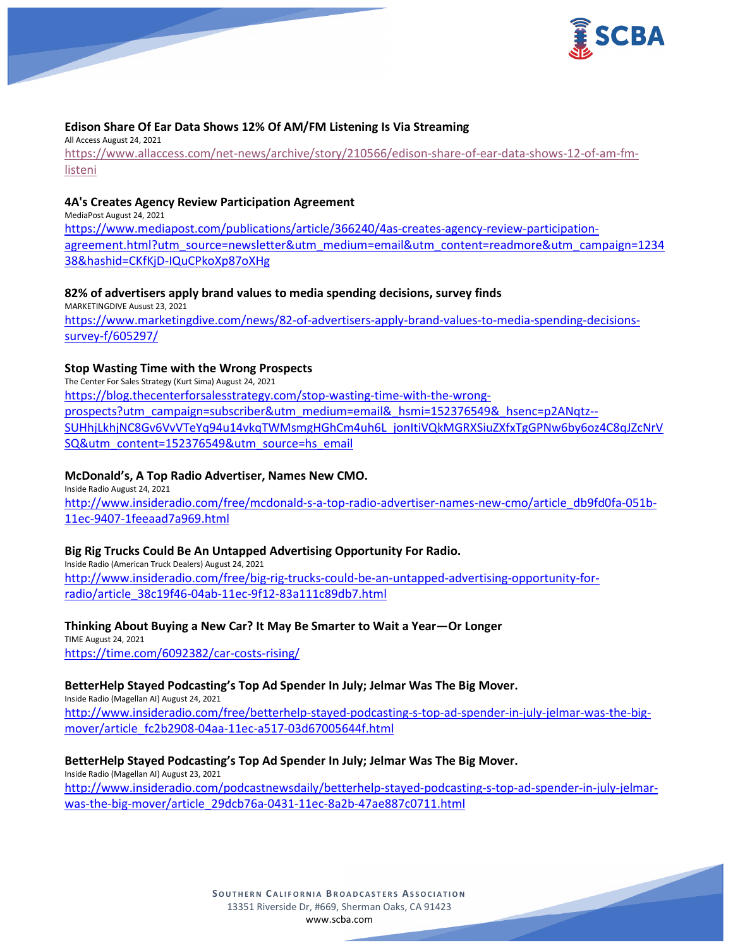

## **Edison Share Of Ear Data Shows 12% Of AM/FM Listening Is Via Streaming**

All Access August 24, 2021 [https://www.allaccess.com/net-news/archive/story/210566/edison-share-of-ear-data-shows-12-of-am-fm](https://www.allaccess.com/net-news/archive/story/210566/edison-share-of-ear-data-shows-12-of-am-fm-listeni)[listeni](https://www.allaccess.com/net-news/archive/story/210566/edison-share-of-ear-data-shows-12-of-am-fm-listeni)

## **4A's Creates Agency Review Participation Agreement**

MediaPost August 24, 2021 [https://www.mediapost.com/publications/article/366240/4as-creates-agency-review-participation](https://www.mediapost.com/publications/article/366240/4as-creates-agency-review-participation-agreement.html?utm_source=newsletter&utm_medium=email&utm_content=readmore&utm_campaign=123438&hashid=CKfKjD-IQuCPkoXp87oXHg)[agreement.html?utm\\_source=newsletter&utm\\_medium=email&utm\\_content=readmore&utm\\_campaign=1234](https://www.mediapost.com/publications/article/366240/4as-creates-agency-review-participation-agreement.html?utm_source=newsletter&utm_medium=email&utm_content=readmore&utm_campaign=123438&hashid=CKfKjD-IQuCPkoXp87oXHg) [38&hashid=CKfKjD-IQuCPkoXp87oXHg](https://www.mediapost.com/publications/article/366240/4as-creates-agency-review-participation-agreement.html?utm_source=newsletter&utm_medium=email&utm_content=readmore&utm_campaign=123438&hashid=CKfKjD-IQuCPkoXp87oXHg)

## **82% of advertisers apply brand values to media spending decisions, survey finds**

MARKETINGDIVE Ausust 23, 2021 [https://www.marketingdive.com/news/82-of-advertisers-apply-brand-values-to-media-spending-decisions](https://www.marketingdive.com/news/82-of-advertisers-apply-brand-values-to-media-spending-decisions-survey-f/605297/)[survey-f/605297/](https://www.marketingdive.com/news/82-of-advertisers-apply-brand-values-to-media-spending-decisions-survey-f/605297/)

## **Stop Wasting Time with the Wrong Prospects**

The Center For Sales Strategy (Kurt Sima) August 24, 2021 [https://blog.thecenterforsalesstrategy.com/stop-wasting-time-with-the-wrong](https://blog.thecenterforsalesstrategy.com/stop-wasting-time-with-the-wrong-prospects?utm_campaign=subscriber&utm_medium=email&_hsmi=152376549&_hsenc=p2ANqtz--SUHhjLkhjNC8Gv6VvVTeYq94u14vkqTWMsmgHGhCm4uh6L_jonItiVQkMGRXSiuZXfxTgGPNw6by6oz4C8qJZcNrVSQ&utm_content=152376549&utm_source=hs_email)[prospects?utm\\_campaign=subscriber&utm\\_medium=email&\\_hsmi=152376549&\\_hsenc=p2ANqtz--](https://blog.thecenterforsalesstrategy.com/stop-wasting-time-with-the-wrong-prospects?utm_campaign=subscriber&utm_medium=email&_hsmi=152376549&_hsenc=p2ANqtz--SUHhjLkhjNC8Gv6VvVTeYq94u14vkqTWMsmgHGhCm4uh6L_jonItiVQkMGRXSiuZXfxTgGPNw6by6oz4C8qJZcNrVSQ&utm_content=152376549&utm_source=hs_email) [SUHhjLkhjNC8Gv6VvVTeYq94u14vkqTWMsmgHGhCm4uh6L\\_jonItiVQkMGRXSiuZXfxTgGPNw6by6oz4C8qJZcNrV](https://blog.thecenterforsalesstrategy.com/stop-wasting-time-with-the-wrong-prospects?utm_campaign=subscriber&utm_medium=email&_hsmi=152376549&_hsenc=p2ANqtz--SUHhjLkhjNC8Gv6VvVTeYq94u14vkqTWMsmgHGhCm4uh6L_jonItiVQkMGRXSiuZXfxTgGPNw6by6oz4C8qJZcNrVSQ&utm_content=152376549&utm_source=hs_email) [SQ&utm\\_content=152376549&utm\\_source=hs\\_email](https://blog.thecenterforsalesstrategy.com/stop-wasting-time-with-the-wrong-prospects?utm_campaign=subscriber&utm_medium=email&_hsmi=152376549&_hsenc=p2ANqtz--SUHhjLkhjNC8Gv6VvVTeYq94u14vkqTWMsmgHGhCm4uh6L_jonItiVQkMGRXSiuZXfxTgGPNw6by6oz4C8qJZcNrVSQ&utm_content=152376549&utm_source=hs_email)

## **McDonald's, A Top Radio Advertiser, Names New CMO.**

Inside Radio August 24, 2021 [http://www.insideradio.com/free/mcdonald-s-a-top-radio-advertiser-names-new-cmo/article\\_db9fd0fa-051b-](http://www.insideradio.com/free/mcdonald-s-a-top-radio-advertiser-names-new-cmo/article_db9fd0fa-051b-11ec-9407-1feeaad7a969.html)[11ec-9407-1feeaad7a969.html](http://www.insideradio.com/free/mcdonald-s-a-top-radio-advertiser-names-new-cmo/article_db9fd0fa-051b-11ec-9407-1feeaad7a969.html)

## **Big Rig Trucks Could Be An Untapped Advertising Opportunity For Radio.**

Inside Radio (American Truck Dealers) August 24, 2021 [http://www.insideradio.com/free/big-rig-trucks-could-be-an-untapped-advertising-opportunity-for](http://www.insideradio.com/free/big-rig-trucks-could-be-an-untapped-advertising-opportunity-for-radio/article_38c19f46-04ab-11ec-9f12-83a111c89db7.html)[radio/article\\_38c19f46-04ab-11ec-9f12-83a111c89db7.html](http://www.insideradio.com/free/big-rig-trucks-could-be-an-untapped-advertising-opportunity-for-radio/article_38c19f46-04ab-11ec-9f12-83a111c89db7.html)

### **Thinking About Buying a New Car? It May Be Smarter to Wait a Year—Or Longer**

TIME August 24, 2021 <https://time.com/6092382/car-costs-rising/>

### **BetterHelp Stayed Podcasting's Top Ad Spender In July; Jelmar Was The Big Mover.**

Inside Radio (Magellan AI) August 24, 2021 [http://www.insideradio.com/free/betterhelp-stayed-podcasting-s-top-ad-spender-in-july-jelmar-was-the-big](http://www.insideradio.com/free/betterhelp-stayed-podcasting-s-top-ad-spender-in-july-jelmar-was-the-big-mover/article_fc2b2908-04aa-11ec-a517-03d67005644f.html)[mover/article\\_fc2b2908-04aa-11ec-a517-03d67005644f.html](http://www.insideradio.com/free/betterhelp-stayed-podcasting-s-top-ad-spender-in-july-jelmar-was-the-big-mover/article_fc2b2908-04aa-11ec-a517-03d67005644f.html)

## **BetterHelp Stayed Podcasting's Top Ad Spender In July; Jelmar Was The Big Mover.**

Inside Radio (Magellan AI) August 23, 2021 [http://www.insideradio.com/podcastnewsdaily/betterhelp-stayed-podcasting-s-top-ad-spender-in-july-jelmar](http://www.insideradio.com/podcastnewsdaily/betterhelp-stayed-podcasting-s-top-ad-spender-in-july-jelmar-was-the-big-mover/article_29dcb76a-0431-11ec-8a2b-47ae887c0711.html)[was-the-big-mover/article\\_29dcb76a-0431-11ec-8a2b-47ae887c0711.html](http://www.insideradio.com/podcastnewsdaily/betterhelp-stayed-podcasting-s-top-ad-spender-in-july-jelmar-was-the-big-mover/article_29dcb76a-0431-11ec-8a2b-47ae887c0711.html)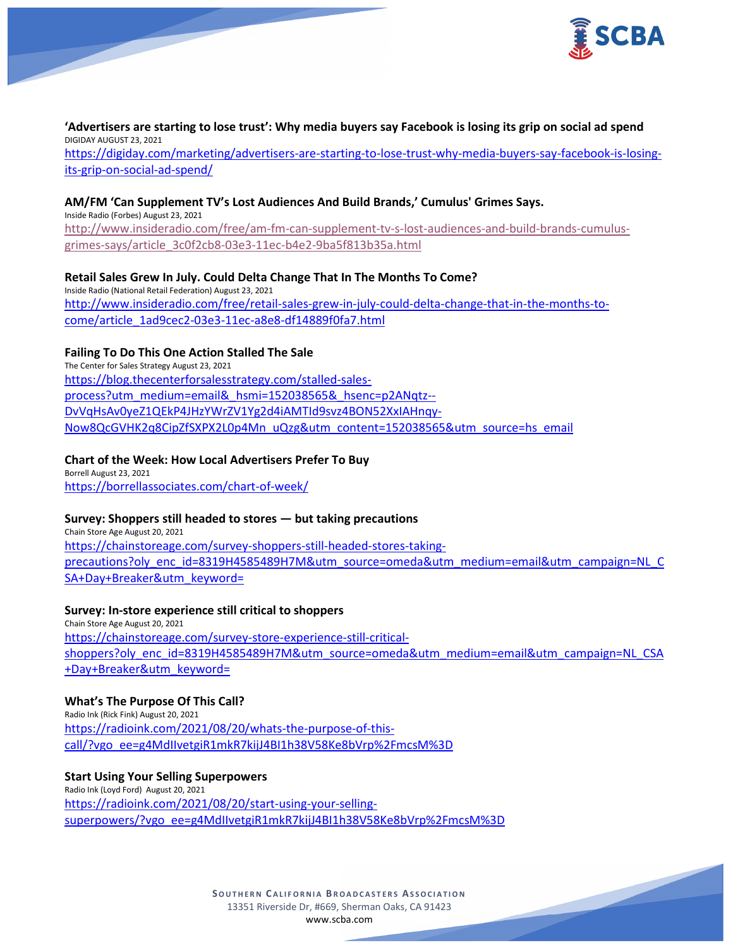

### **'Advertisers are starting to lose trust': Why media buyers say Facebook is losing its grip on social ad spend** DIGIDAY AUGUST 23, 2021 [https://digiday.com/marketing/advertisers-are-starting-to-lose-trust-why-media-buyers-say-facebook-is-losing](https://digiday.com/marketing/advertisers-are-starting-to-lose-trust-why-media-buyers-say-facebook-is-losing-its-grip-on-social-ad-spend/)[its-grip-on-social-ad-spend/](https://digiday.com/marketing/advertisers-are-starting-to-lose-trust-why-media-buyers-say-facebook-is-losing-its-grip-on-social-ad-spend/)

### **AM/FM 'Can Supplement TV's Lost Audiences And Build Brands,' Cumulus' Grimes Says.**

Inside Radio (Forbes) August 23, 2021 [http://www.insideradio.com/free/am-fm-can-supplement-tv-s-lost-audiences-and-build-brands-cumulus](http://www.insideradio.com/free/am-fm-can-supplement-tv-s-lost-audiences-and-build-brands-cumulus-grimes-says/article_3c0f2cb8-03e3-11ec-b4e2-9ba5f813b35a.html)[grimes-says/article\\_3c0f2cb8-03e3-11ec-b4e2-9ba5f813b35a.html](http://www.insideradio.com/free/am-fm-can-supplement-tv-s-lost-audiences-and-build-brands-cumulus-grimes-says/article_3c0f2cb8-03e3-11ec-b4e2-9ba5f813b35a.html)

## **Retail Sales Grew In July. Could Delta Change That In The Months To Come?**

Inside Radio (National Retail Federation) August 23, 2021 [http://www.insideradio.com/free/retail-sales-grew-in-july-could-delta-change-that-in-the-months-to](http://www.insideradio.com/free/retail-sales-grew-in-july-could-delta-change-that-in-the-months-to-come/article_1ad9cec2-03e3-11ec-a8e8-df14889f0fa7.html)[come/article\\_1ad9cec2-03e3-11ec-a8e8-df14889f0fa7.html](http://www.insideradio.com/free/retail-sales-grew-in-july-could-delta-change-that-in-the-months-to-come/article_1ad9cec2-03e3-11ec-a8e8-df14889f0fa7.html)

## **Failing To Do This One Action Stalled The Sale**

The Center for Sales Strategy August 23, 2021 [https://blog.thecenterforsalesstrategy.com/stalled-sales](https://blog.thecenterforsalesstrategy.com/stalled-sales-process?utm_medium=email&_hsmi=152038565&_hsenc=p2ANqtz--DvVqHsAv0yeZ1QEkP4JHzYWrZV1Yg2d4iAMTId9svz4BON52XxIAHnqy-Now8QcGVHK2q8CipZfSXPX2L0p4Mn_uQzg&utm_content=152038565&utm_source=hs_email)[process?utm\\_medium=email&\\_hsmi=152038565&\\_hsenc=p2ANqtz--](https://blog.thecenterforsalesstrategy.com/stalled-sales-process?utm_medium=email&_hsmi=152038565&_hsenc=p2ANqtz--DvVqHsAv0yeZ1QEkP4JHzYWrZV1Yg2d4iAMTId9svz4BON52XxIAHnqy-Now8QcGVHK2q8CipZfSXPX2L0p4Mn_uQzg&utm_content=152038565&utm_source=hs_email) [DvVqHsAv0yeZ1QEkP4JHzYWrZV1Yg2d4iAMTId9svz4BON52XxIAHnqy-](https://blog.thecenterforsalesstrategy.com/stalled-sales-process?utm_medium=email&_hsmi=152038565&_hsenc=p2ANqtz--DvVqHsAv0yeZ1QEkP4JHzYWrZV1Yg2d4iAMTId9svz4BON52XxIAHnqy-Now8QcGVHK2q8CipZfSXPX2L0p4Mn_uQzg&utm_content=152038565&utm_source=hs_email)[Now8QcGVHK2q8CipZfSXPX2L0p4Mn\\_uQzg&utm\\_content=152038565&utm\\_source=hs\\_email](https://blog.thecenterforsalesstrategy.com/stalled-sales-process?utm_medium=email&_hsmi=152038565&_hsenc=p2ANqtz--DvVqHsAv0yeZ1QEkP4JHzYWrZV1Yg2d4iAMTId9svz4BON52XxIAHnqy-Now8QcGVHK2q8CipZfSXPX2L0p4Mn_uQzg&utm_content=152038565&utm_source=hs_email)

### **Chart of the Week: How Local Advertisers Prefer To Buy**

Borrell August 23, 2021 <https://borrellassociates.com/chart-of-week/>

### **Survey: Shoppers still headed to stores — but taking precautions**

Chain Store Age August 20, 2021 [https://chainstoreage.com/survey-shoppers-still-headed-stores-taking](https://chainstoreage.com/survey-shoppers-still-headed-stores-taking-precautions?oly_enc_id=8319H4585489H7M&utm_source=omeda&utm_medium=email&utm_campaign=NL_CSA+Day+Breaker&utm_keyword=)[precautions?oly\\_enc\\_id=8319H4585489H7M&utm\\_source=omeda&utm\\_medium=email&utm\\_campaign=NL\\_C](https://chainstoreage.com/survey-shoppers-still-headed-stores-taking-precautions?oly_enc_id=8319H4585489H7M&utm_source=omeda&utm_medium=email&utm_campaign=NL_CSA+Day+Breaker&utm_keyword=) [SA+Day+Breaker&utm\\_keyword=](https://chainstoreage.com/survey-shoppers-still-headed-stores-taking-precautions?oly_enc_id=8319H4585489H7M&utm_source=omeda&utm_medium=email&utm_campaign=NL_CSA+Day+Breaker&utm_keyword=)

### **Survey: In-store experience still critical to shoppers**

Chain Store Age August 20, 2021 [https://chainstoreage.com/survey-store-experience-still-critical](https://chainstoreage.com/survey-store-experience-still-critical-shoppers?oly_enc_id=8319H4585489H7M&utm_source=omeda&utm_medium=email&utm_campaign=NL_CSA+Day+Breaker&utm_keyword=)[shoppers?oly\\_enc\\_id=8319H4585489H7M&utm\\_source=omeda&utm\\_medium=email&utm\\_campaign=NL\\_CSA](https://chainstoreage.com/survey-store-experience-still-critical-shoppers?oly_enc_id=8319H4585489H7M&utm_source=omeda&utm_medium=email&utm_campaign=NL_CSA+Day+Breaker&utm_keyword=) [+Day+Breaker&utm\\_keyword=](https://chainstoreage.com/survey-store-experience-still-critical-shoppers?oly_enc_id=8319H4585489H7M&utm_source=omeda&utm_medium=email&utm_campaign=NL_CSA+Day+Breaker&utm_keyword=)

### **What's The Purpose Of This Call?**

Radio Ink (Rick Fink) August 20, 2021 [https://radioink.com/2021/08/20/whats-the-purpose-of-this](https://radioink.com/2021/08/20/whats-the-purpose-of-this-call/?vgo_ee=g4MdIIvetgiR1mkR7kijJ4BI1h38V58Ke8bVrp%2FmcsM%3D)[call/?vgo\\_ee=g4MdIIvetgiR1mkR7kijJ4BI1h38V58Ke8bVrp%2FmcsM%3D](https://radioink.com/2021/08/20/whats-the-purpose-of-this-call/?vgo_ee=g4MdIIvetgiR1mkR7kijJ4BI1h38V58Ke8bVrp%2FmcsM%3D)

## **Start Using Your Selling Superpowers** Radio Ink (Loyd Ford) August 20, 2021

[https://radioink.com/2021/08/20/start-using-your-selling](https://radioink.com/2021/08/20/start-using-your-selling-superpowers/?vgo_ee=g4MdIIvetgiR1mkR7kijJ4BI1h38V58Ke8bVrp%2FmcsM%3D)[superpowers/?vgo\\_ee=g4MdIIvetgiR1mkR7kijJ4BI1h38V58Ke8bVrp%2FmcsM%3D](https://radioink.com/2021/08/20/start-using-your-selling-superpowers/?vgo_ee=g4MdIIvetgiR1mkR7kijJ4BI1h38V58Ke8bVrp%2FmcsM%3D)

> **SOUTHERN C ALIFORNIA B ROADCASTERS ASSOCIATION** 13351 Riverside Dr, #669, Sherman Oaks, CA 91423 [www.scba.com](http://www.scba.com/)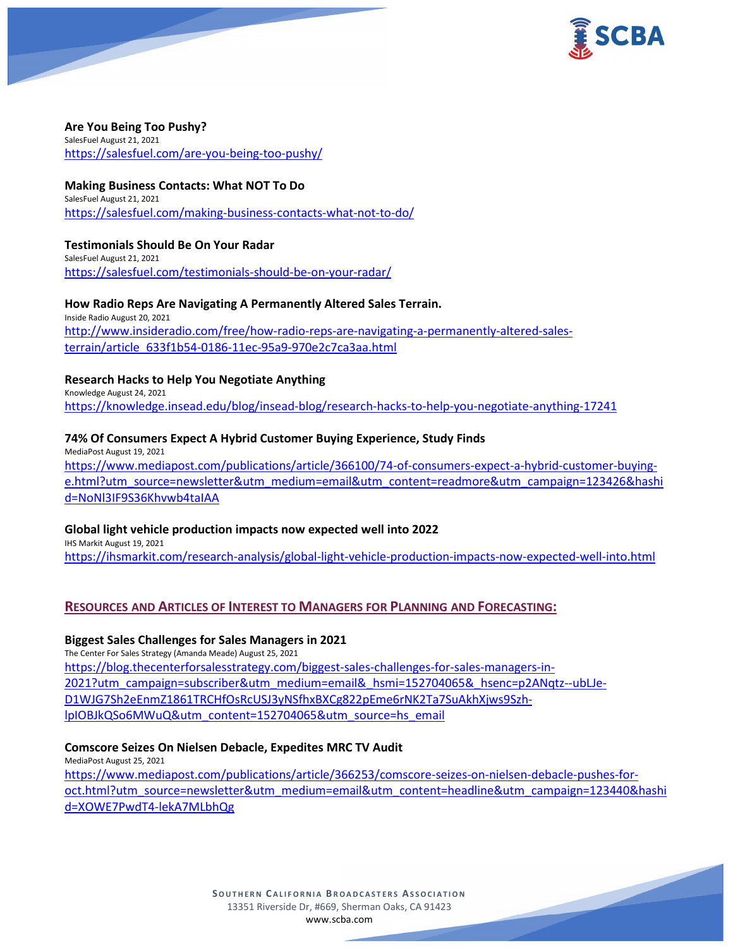

#### **Are You Being Too Pushy?** SalesFuel August 21, 2021

<https://salesfuel.com/are-you-being-too-pushy/>

## **Making Business Contacts: What NOT To Do**

SalesFuel August 21, 2021 <https://salesfuel.com/making-business-contacts-what-not-to-do/>

#### **Testimonials Should Be On Your Radar** SalesFuel August 21, 2021

<https://salesfuel.com/testimonials-should-be-on-your-radar/>

## **How Radio Reps Are Navigating A Permanently Altered Sales Terrain.**

Inside Radio August 20, 2021 [http://www.insideradio.com/free/how-radio-reps-are-navigating-a-permanently-altered-sales](http://www.insideradio.com/free/how-radio-reps-are-navigating-a-permanently-altered-sales-terrain/article_633f1b54-0186-11ec-95a9-970e2c7ca3aa.html)[terrain/article\\_633f1b54-0186-11ec-95a9-970e2c7ca3aa.html](http://www.insideradio.com/free/how-radio-reps-are-navigating-a-permanently-altered-sales-terrain/article_633f1b54-0186-11ec-95a9-970e2c7ca3aa.html)

## **Research Hacks to Help You Negotiate Anything**

Knowledge August 24, 2021 <https://knowledge.insead.edu/blog/insead-blog/research-hacks-to-help-you-negotiate-anything-17241>

## **74% Of Consumers Expect A Hybrid Customer Buying Experience, Study Finds**

MediaPost August 19, 2021 [https://www.mediapost.com/publications/article/366100/74-of-consumers-expect-a-hybrid-customer-buying](https://www.mediapost.com/publications/article/366100/74-of-consumers-expect-a-hybrid-customer-buying-e.html?utm_source=newsletter&utm_medium=email&utm_content=readmore&utm_campaign=123426&hashid=NoNl3IF9S36Khvwb4taIAA)[e.html?utm\\_source=newsletter&utm\\_medium=email&utm\\_content=readmore&utm\\_campaign=123426&hashi](https://www.mediapost.com/publications/article/366100/74-of-consumers-expect-a-hybrid-customer-buying-e.html?utm_source=newsletter&utm_medium=email&utm_content=readmore&utm_campaign=123426&hashid=NoNl3IF9S36Khvwb4taIAA) [d=NoNl3IF9S36Khvwb4taIAA](https://www.mediapost.com/publications/article/366100/74-of-consumers-expect-a-hybrid-customer-buying-e.html?utm_source=newsletter&utm_medium=email&utm_content=readmore&utm_campaign=123426&hashid=NoNl3IF9S36Khvwb4taIAA)

## **Global light vehicle production impacts now expected well into 2022**

IHS Markit August 19, 2021 <https://ihsmarkit.com/research-analysis/global-light-vehicle-production-impacts-now-expected-well-into.html>

## **RESOURCES AND ARTICLES OF INTEREST TO MANAGERS FOR PLANNING AND FORECASTING:**

## **Biggest Sales Challenges for Sales Managers in 2021**

The Center For Sales Strategy (Amanda Meade) August 25, 2021 [https://blog.thecenterforsalesstrategy.com/biggest-sales-challenges-for-sales-managers-in-](https://blog.thecenterforsalesstrategy.com/biggest-sales-challenges-for-sales-managers-in-2021?utm_campaign=subscriber&utm_medium=email&_hsmi=152704065&_hsenc=p2ANqtz--ubLJe-D1WJG7Sh2eEnmZ1861TRCHfOsRcUSJ3yNSfhxBXCg822pEme6rNK2Ta7SuAkhXjws9Szh-lpIOBJkQSo6MWuQ&utm_content=152704065&utm_source=hs_email)[2021?utm\\_campaign=subscriber&utm\\_medium=email&\\_hsmi=152704065&\\_hsenc=p2ANqtz--ubLJe-](https://blog.thecenterforsalesstrategy.com/biggest-sales-challenges-for-sales-managers-in-2021?utm_campaign=subscriber&utm_medium=email&_hsmi=152704065&_hsenc=p2ANqtz--ubLJe-D1WJG7Sh2eEnmZ1861TRCHfOsRcUSJ3yNSfhxBXCg822pEme6rNK2Ta7SuAkhXjws9Szh-lpIOBJkQSo6MWuQ&utm_content=152704065&utm_source=hs_email)[D1WJG7Sh2eEnmZ1861TRCHfOsRcUSJ3yNSfhxBXCg822pEme6rNK2Ta7SuAkhXjws9Szh](https://blog.thecenterforsalesstrategy.com/biggest-sales-challenges-for-sales-managers-in-2021?utm_campaign=subscriber&utm_medium=email&_hsmi=152704065&_hsenc=p2ANqtz--ubLJe-D1WJG7Sh2eEnmZ1861TRCHfOsRcUSJ3yNSfhxBXCg822pEme6rNK2Ta7SuAkhXjws9Szh-lpIOBJkQSo6MWuQ&utm_content=152704065&utm_source=hs_email)[lpIOBJkQSo6MWuQ&utm\\_content=152704065&utm\\_source=hs\\_email](https://blog.thecenterforsalesstrategy.com/biggest-sales-challenges-for-sales-managers-in-2021?utm_campaign=subscriber&utm_medium=email&_hsmi=152704065&_hsenc=p2ANqtz--ubLJe-D1WJG7Sh2eEnmZ1861TRCHfOsRcUSJ3yNSfhxBXCg822pEme6rNK2Ta7SuAkhXjws9Szh-lpIOBJkQSo6MWuQ&utm_content=152704065&utm_source=hs_email)

## **Comscore Seizes On Nielsen Debacle, Expedites MRC TV Audit**

MediaPost August 25, 2021 [https://www.mediapost.com/publications/article/366253/comscore-seizes-on-nielsen-debacle-pushes-for](https://www.mediapost.com/publications/article/366253/comscore-seizes-on-nielsen-debacle-pushes-for-oct.html?utm_source=newsletter&utm_medium=email&utm_content=headline&utm_campaign=123440&hashid=XOWE7PwdT4-lekA7MLbhQg)[oct.html?utm\\_source=newsletter&utm\\_medium=email&utm\\_content=headline&utm\\_campaign=123440&hashi](https://www.mediapost.com/publications/article/366253/comscore-seizes-on-nielsen-debacle-pushes-for-oct.html?utm_source=newsletter&utm_medium=email&utm_content=headline&utm_campaign=123440&hashid=XOWE7PwdT4-lekA7MLbhQg) [d=XOWE7PwdT4-lekA7MLbhQg](https://www.mediapost.com/publications/article/366253/comscore-seizes-on-nielsen-debacle-pushes-for-oct.html?utm_source=newsletter&utm_medium=email&utm_content=headline&utm_campaign=123440&hashid=XOWE7PwdT4-lekA7MLbhQg)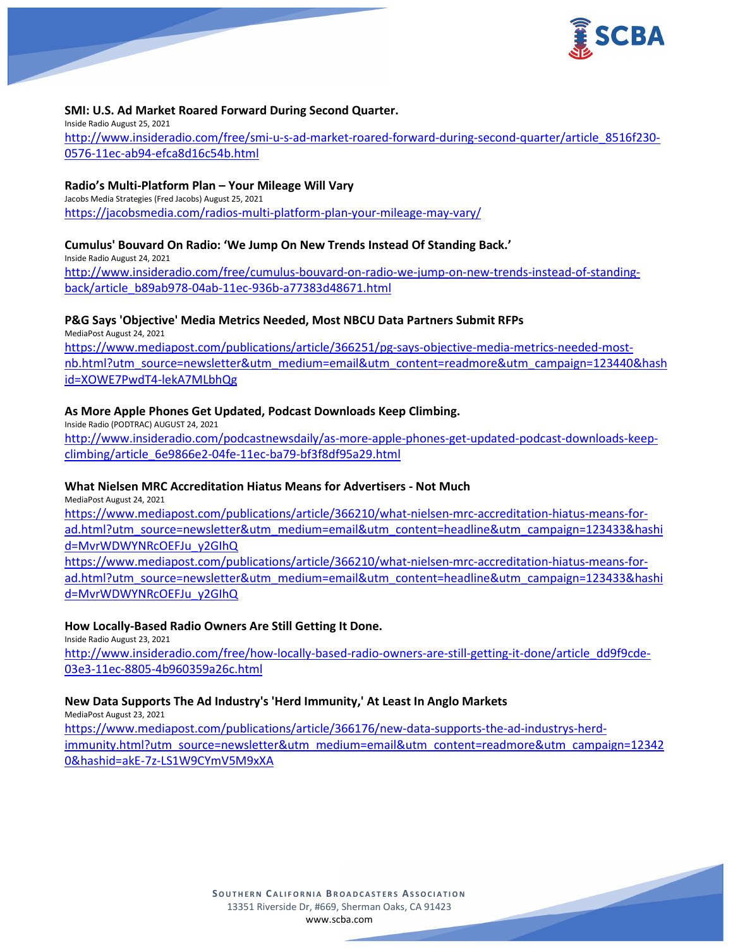

## **SMI: U.S. Ad Market Roared Forward During Second Quarter.**

Inside Radio August 25, 2021 [http://www.insideradio.com/free/smi-u-s-ad-market-roared-forward-during-second-quarter/article\\_8516f230-](http://www.insideradio.com/free/smi-u-s-ad-market-roared-forward-during-second-quarter/article_8516f230-0576-11ec-ab94-efca8d16c54b.html) [0576-11ec-ab94-efca8d16c54b.html](http://www.insideradio.com/free/smi-u-s-ad-market-roared-forward-during-second-quarter/article_8516f230-0576-11ec-ab94-efca8d16c54b.html)

### **Radio's Multi-Platform Plan – Your Mileage Will Vary**

Jacobs Media Strategies (Fred Jacobs) August 25, 2021 <https://jacobsmedia.com/radios-multi-platform-plan-your-mileage-may-vary/>

### **Cumulus' Bouvard On Radio: 'We Jump On New Trends Instead Of Standing Back.'**

Inside Radio August 24, 2021 [http://www.insideradio.com/free/cumulus-bouvard-on-radio-we-jump-on-new-trends-instead-of-standing](http://www.insideradio.com/free/cumulus-bouvard-on-radio-we-jump-on-new-trends-instead-of-standing-back/article_b89ab978-04ab-11ec-936b-a77383d48671.html)[back/article\\_b89ab978-04ab-11ec-936b-a77383d48671.html](http://www.insideradio.com/free/cumulus-bouvard-on-radio-we-jump-on-new-trends-instead-of-standing-back/article_b89ab978-04ab-11ec-936b-a77383d48671.html)

### **P&G Says 'Objective' Media Metrics Needed, Most NBCU Data Partners Submit RFPs**

MediaPost August 24, 2021 [https://www.mediapost.com/publications/article/366251/pg-says-objective-media-metrics-needed-most](https://www.mediapost.com/publications/article/366251/pg-says-objective-media-metrics-needed-most-nb.html?utm_source=newsletter&utm_medium=email&utm_content=readmore&utm_campaign=123440&hashid=XOWE7PwdT4-lekA7MLbhQg)[nb.html?utm\\_source=newsletter&utm\\_medium=email&utm\\_content=readmore&utm\\_campaign=123440&hash](https://www.mediapost.com/publications/article/366251/pg-says-objective-media-metrics-needed-most-nb.html?utm_source=newsletter&utm_medium=email&utm_content=readmore&utm_campaign=123440&hashid=XOWE7PwdT4-lekA7MLbhQg) [id=XOWE7PwdT4-lekA7MLbhQg](https://www.mediapost.com/publications/article/366251/pg-says-objective-media-metrics-needed-most-nb.html?utm_source=newsletter&utm_medium=email&utm_content=readmore&utm_campaign=123440&hashid=XOWE7PwdT4-lekA7MLbhQg)

### **As More Apple Phones Get Updated, Podcast Downloads Keep Climbing.**

Inside Radio (PODTRAC) AUGUST 24, 2021 [http://www.insideradio.com/podcastnewsdaily/as-more-apple-phones-get-updated-podcast-downloads-keep](http://www.insideradio.com/podcastnewsdaily/as-more-apple-phones-get-updated-podcast-downloads-keep-climbing/article_6e9866e2-04fe-11ec-ba79-bf3f8df95a29.html)[climbing/article\\_6e9866e2-04fe-11ec-ba79-bf3f8df95a29.html](http://www.insideradio.com/podcastnewsdaily/as-more-apple-phones-get-updated-podcast-downloads-keep-climbing/article_6e9866e2-04fe-11ec-ba79-bf3f8df95a29.html)

#### **What Nielsen MRC Accreditation Hiatus Means for Advertisers - Not Much**

MediaPost August 24, 2021

[https://www.mediapost.com/publications/article/366210/what-nielsen-mrc-accreditation-hiatus-means-for](https://www.mediapost.com/publications/article/366210/what-nielsen-mrc-accreditation-hiatus-means-for-ad.html?utm_source=newsletter&utm_medium=email&utm_content=headline&utm_campaign=123433&hashid=MvrWDWYNRcOEFJu_y2GIhQ)[ad.html?utm\\_source=newsletter&utm\\_medium=email&utm\\_content=headline&utm\\_campaign=123433&hashi](https://www.mediapost.com/publications/article/366210/what-nielsen-mrc-accreditation-hiatus-means-for-ad.html?utm_source=newsletter&utm_medium=email&utm_content=headline&utm_campaign=123433&hashid=MvrWDWYNRcOEFJu_y2GIhQ) [d=MvrWDWYNRcOEFJu\\_y2GIhQ](https://www.mediapost.com/publications/article/366210/what-nielsen-mrc-accreditation-hiatus-means-for-ad.html?utm_source=newsletter&utm_medium=email&utm_content=headline&utm_campaign=123433&hashid=MvrWDWYNRcOEFJu_y2GIhQ)

[https://www.mediapost.com/publications/article/366210/what-nielsen-mrc-accreditation-hiatus-means-for](https://www.mediapost.com/publications/article/366210/what-nielsen-mrc-accreditation-hiatus-means-for-ad.html?utm_source=newsletter&utm_medium=email&utm_content=headline&utm_campaign=123433&hashid=MvrWDWYNRcOEFJu_y2GIhQ)[ad.html?utm\\_source=newsletter&utm\\_medium=email&utm\\_content=headline&utm\\_campaign=123433&hashi](https://www.mediapost.com/publications/article/366210/what-nielsen-mrc-accreditation-hiatus-means-for-ad.html?utm_source=newsletter&utm_medium=email&utm_content=headline&utm_campaign=123433&hashid=MvrWDWYNRcOEFJu_y2GIhQ) [d=MvrWDWYNRcOEFJu\\_y2GIhQ](https://www.mediapost.com/publications/article/366210/what-nielsen-mrc-accreditation-hiatus-means-for-ad.html?utm_source=newsletter&utm_medium=email&utm_content=headline&utm_campaign=123433&hashid=MvrWDWYNRcOEFJu_y2GIhQ)

### **How Locally-Based Radio Owners Are Still Getting It Done.**

Inside Radio August 23, 2021 [http://www.insideradio.com/free/how-locally-based-radio-owners-are-still-getting-it-done/article\\_dd9f9cde-](http://www.insideradio.com/free/how-locally-based-radio-owners-are-still-getting-it-done/article_dd9f9cde-03e3-11ec-8805-4b960359a26c.html)[03e3-11ec-8805-4b960359a26c.html](http://www.insideradio.com/free/how-locally-based-radio-owners-are-still-getting-it-done/article_dd9f9cde-03e3-11ec-8805-4b960359a26c.html)

### **New Data Supports The Ad Industry's 'Herd Immunity,' At Least In Anglo Markets**

MediaPost August 23, 2021 [https://www.mediapost.com/publications/article/366176/new-data-supports-the-ad-industrys-herd](https://www.mediapost.com/publications/article/366176/new-data-supports-the-ad-industrys-herd-immunity.html?utm_source=newsletter&utm_medium=email&utm_content=readmore&utm_campaign=123420&hashid=akE-7z-LS1W9CYmV5M9xXA)[immunity.html?utm\\_source=newsletter&utm\\_medium=email&utm\\_content=readmore&utm\\_campaign=12342](https://www.mediapost.com/publications/article/366176/new-data-supports-the-ad-industrys-herd-immunity.html?utm_source=newsletter&utm_medium=email&utm_content=readmore&utm_campaign=123420&hashid=akE-7z-LS1W9CYmV5M9xXA) [0&hashid=akE-7z-LS1W9CYmV5M9xXA](https://www.mediapost.com/publications/article/366176/new-data-supports-the-ad-industrys-herd-immunity.html?utm_source=newsletter&utm_medium=email&utm_content=readmore&utm_campaign=123420&hashid=akE-7z-LS1W9CYmV5M9xXA)